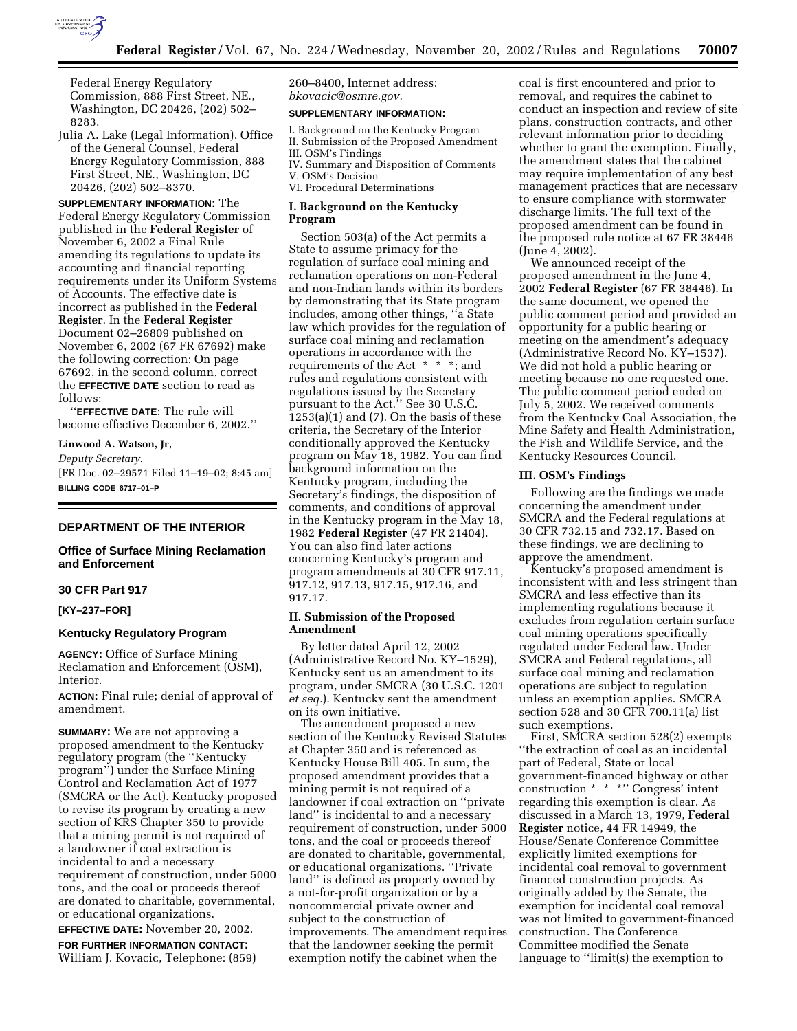

Federal Energy Regulatory Commission, 888 First Street, NE., Washington, DC 20426, (202) 502– 8283.

Julia A. Lake (Legal Information), Office of the General Counsel, Federal Energy Regulatory Commission, 888 First Street, NE., Washington, DC 20426, (202) 502–8370.

**SUPPLEMENTARY INFORMATION:** The Federal Energy Regulatory Commission published in the **Federal Register** of November 6, 2002 a Final Rule amending its regulations to update its accounting and financial reporting requirements under its Uniform Systems of Accounts. The effective date is incorrect as published in the **Federal Register**. In the **Federal Register** Document 02–26809 published on November 6, 2002 (67 FR 67692) make the following correction: On page 67692, in the second column, correct the **EFFECTIVE DATE** section to read as follows:

''**EFFECTIVE DATE**: The rule will become effective December 6, 2002.''

**Linwood A. Watson, Jr,**  *Deputy Secretary.* [FR Doc. 02–29571 Filed 11–19–02; 8:45 am] **BILLING CODE 6717–01–P**

# **DEPARTMENT OF THE INTERIOR**

## **Office of Surface Mining Reclamation and Enforcement**

### **30 CFR Part 917**

**[KY–237–FOR]** 

### **Kentucky Regulatory Program**

**AGENCY:** Office of Surface Mining Reclamation and Enforcement (OSM), Interior.

**ACTION:** Final rule; denial of approval of amendment.

**SUMMARY:** We are not approving a proposed amendment to the Kentucky regulatory program (the ''Kentucky program'') under the Surface Mining Control and Reclamation Act of 1977 (SMCRA or the Act). Kentucky proposed to revise its program by creating a new section of KRS Chapter 350 to provide that a mining permit is not required of a landowner if coal extraction is incidental to and a necessary requirement of construction, under 5000 tons, and the coal or proceeds thereof are donated to charitable, governmental, or educational organizations.

**EFFECTIVE DATE:** November 20, 2002.

**FOR FURTHER INFORMATION CONTACT:** William J. Kovacic, Telephone: (859) 260–8400, Internet address: *bkovacic@osmre.gov.*

### **SUPPLEMENTARY INFORMATION:**

I. Background on the Kentucky Program II. Submission of the Proposed Amendment III. OSM's Findings IV. Summary and Disposition of Comments V. OSM's Decision VI. Procedural Determinations

## **I. Background on the Kentucky Program**

Section 503(a) of the Act permits a State to assume primacy for the regulation of surface coal mining and reclamation operations on non-Federal and non-Indian lands within its borders by demonstrating that its State program includes, among other things, ''a State law which provides for the regulation of surface coal mining and reclamation operations in accordance with the requirements of the Act \* \* \*; and rules and regulations consistent with regulations issued by the Secretary pursuant to the Act." See 30 U.S.C.  $1253(a)(1)$  and  $(7)$ . On the basis of these criteria, the Secretary of the Interior conditionally approved the Kentucky program on May 18, 1982. You can find background information on the Kentucky program, including the Secretary's findings, the disposition of comments, and conditions of approval in the Kentucky program in the May 18, 1982 **Federal Register** (47 FR 21404). You can also find later actions concerning Kentucky's program and program amendments at 30 CFR 917.11, 917.12, 917.13, 917.15, 917.16, and 917.17.

### **II. Submission of the Proposed Amendment**

By letter dated April 12, 2002 (Administrative Record No. KY–1529), Kentucky sent us an amendment to its program, under SMCRA (30 U.S.C. 1201 *et seq.*). Kentucky sent the amendment on its own initiative.

The amendment proposed a new section of the Kentucky Revised Statutes at Chapter 350 and is referenced as Kentucky House Bill 405. In sum, the proposed amendment provides that a mining permit is not required of a landowner if coal extraction on ''private land'' is incidental to and a necessary requirement of construction, under 5000 tons, and the coal or proceeds thereof are donated to charitable, governmental, or educational organizations. ''Private land'' is defined as property owned by a not-for-profit organization or by a noncommercial private owner and subject to the construction of improvements. The amendment requires that the landowner seeking the permit exemption notify the cabinet when the

coal is first encountered and prior to removal, and requires the cabinet to conduct an inspection and review of site plans, construction contracts, and other relevant information prior to deciding whether to grant the exemption. Finally, the amendment states that the cabinet may require implementation of any best management practices that are necessary to ensure compliance with stormwater discharge limits. The full text of the proposed amendment can be found in the proposed rule notice at 67 FR 38446 (June 4, 2002).

We announced receipt of the proposed amendment in the June 4, 2002 **Federal Register** (67 FR 38446). In the same document, we opened the public comment period and provided an opportunity for a public hearing or meeting on the amendment's adequacy (Administrative Record No. KY–1537). We did not hold a public hearing or meeting because no one requested one. The public comment period ended on July 5, 2002. We received comments from the Kentucky Coal Association, the Mine Safety and Health Administration, the Fish and Wildlife Service, and the Kentucky Resources Council.

#### **III. OSM's Findings**

Following are the findings we made concerning the amendment under SMCRA and the Federal regulations at 30 CFR 732.15 and 732.17. Based on these findings, we are declining to approve the amendment.

Kentucky's proposed amendment is inconsistent with and less stringent than SMCRA and less effective than its implementing regulations because it excludes from regulation certain surface coal mining operations specifically regulated under Federal law. Under SMCRA and Federal regulations, all surface coal mining and reclamation operations are subject to regulation unless an exemption applies. SMCRA section 528 and 30 CFR 700.11(a) list such exemptions.

First, SMCRA section 528(2) exempts ''the extraction of coal as an incidental part of Federal, State or local government-financed highway or other construction \* \* \*'' Congress' intent regarding this exemption is clear. As discussed in a March 13, 1979, **Federal Register** notice, 44 FR 14949, the House/Senate Conference Committee explicitly limited exemptions for incidental coal removal to government financed construction projects. As originally added by the Senate, the exemption for incidental coal removal was not limited to government-financed construction. The Conference Committee modified the Senate language to ''limit(s) the exemption to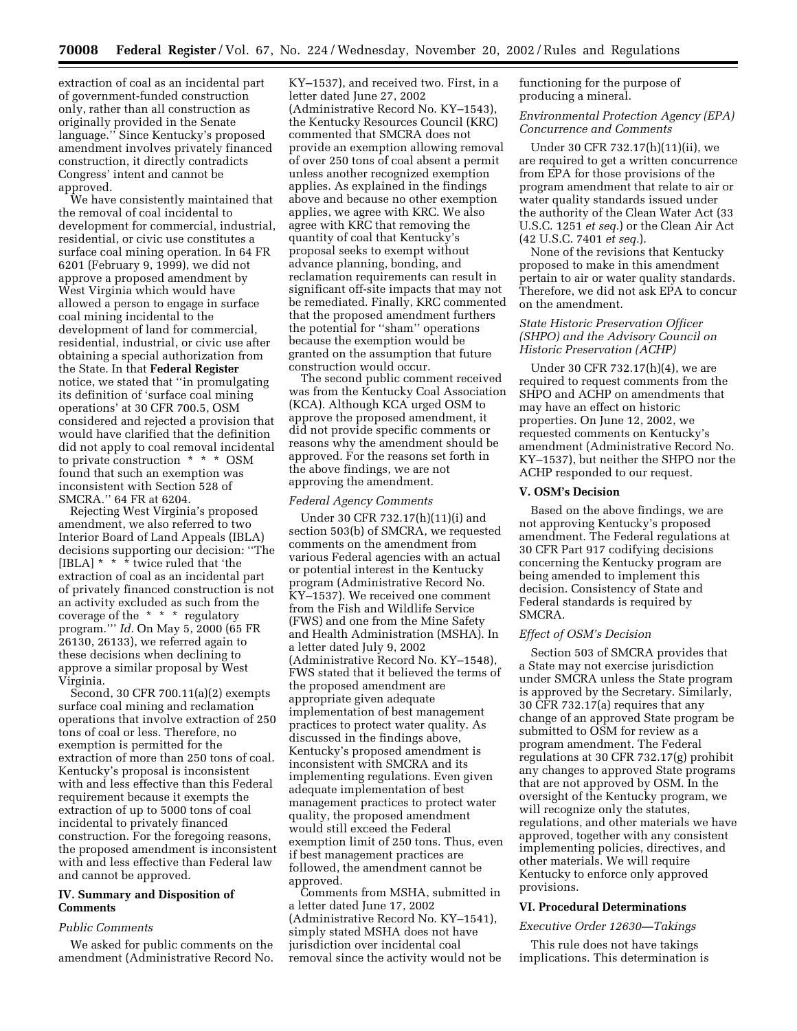extraction of coal as an incidental part of government-funded construction only, rather than all construction as originally provided in the Senate language.'' Since Kentucky's proposed amendment involves privately financed construction, it directly contradicts Congress' intent and cannot be approved.

We have consistently maintained that the removal of coal incidental to development for commercial, industrial, residential, or civic use constitutes a surface coal mining operation. In 64 FR 6201 (February 9, 1999), we did not approve a proposed amendment by West Virginia which would have allowed a person to engage in surface coal mining incidental to the development of land for commercial, residential, industrial, or civic use after obtaining a special authorization from the State. In that **Federal Register** notice, we stated that ''in promulgating its definition of 'surface coal mining operations' at 30 CFR 700.5, OSM considered and rejected a provision that would have clarified that the definition did not apply to coal removal incidental to private construction \* \* \* OSM found that such an exemption was inconsistent with Section 528 of SMCRA.'' 64 FR at 6204.

Rejecting West Virginia's proposed amendment, we also referred to two Interior Board of Land Appeals (IBLA) decisions supporting our decision: ''The [IBLA] \* \* \* twice ruled that 'the extraction of coal as an incidental part of privately financed construction is not an activity excluded as such from the coverage of the \* \* \* regulatory program.''' *Id.* On May 5, 2000 (65 FR 26130, 26133), we referred again to these decisions when declining to approve a similar proposal by West Virginia.

Second, 30 CFR 700.11(a)(2) exempts surface coal mining and reclamation operations that involve extraction of 250 tons of coal or less. Therefore, no exemption is permitted for the extraction of more than 250 tons of coal. Kentucky's proposal is inconsistent with and less effective than this Federal requirement because it exempts the extraction of up to 5000 tons of coal incidental to privately financed construction. For the foregoing reasons, the proposed amendment is inconsistent with and less effective than Federal law and cannot be approved.

## **IV. Summary and Disposition of Comments**

#### *Public Comments*

We asked for public comments on the amendment (Administrative Record No.

KY–1537), and received two. First, in a letter dated June 27, 2002 (Administrative Record No. KY–1543), the Kentucky Resources Council (KRC) commented that SMCRA does not provide an exemption allowing removal of over 250 tons of coal absent a permit unless another recognized exemption applies. As explained in the findings above and because no other exemption applies, we agree with KRC. We also agree with KRC that removing the quantity of coal that Kentucky's proposal seeks to exempt without advance planning, bonding, and reclamation requirements can result in significant off-site impacts that may not be remediated. Finally, KRC commented that the proposed amendment furthers the potential for ''sham'' operations because the exemption would be granted on the assumption that future construction would occur.

The second public comment received was from the Kentucky Coal Association (KCA). Although KCA urged OSM to approve the proposed amendment, it did not provide specific comments or reasons why the amendment should be approved. For the reasons set forth in the above findings, we are not approving the amendment.

#### *Federal Agency Comments*

Under 30 CFR 732.17(h)(11)(i) and section 503(b) of SMCRA, we requested comments on the amendment from various Federal agencies with an actual or potential interest in the Kentucky program (Administrative Record No. KY–1537). We received one comment from the Fish and Wildlife Service (FWS) and one from the Mine Safety and Health Administration (MSHA). In a letter dated July 9, 2002 (Administrative Record No. KY–1548), FWS stated that it believed the terms of the proposed amendment are appropriate given adequate implementation of best management practices to protect water quality. As discussed in the findings above, Kentucky's proposed amendment is inconsistent with SMCRA and its implementing regulations. Even given adequate implementation of best management practices to protect water quality, the proposed amendment would still exceed the Federal exemption limit of 250 tons. Thus, even if best management practices are followed, the amendment cannot be approved.

Comments from MSHA, submitted in a letter dated June 17, 2002 (Administrative Record No. KY–1541), simply stated MSHA does not have jurisdiction over incidental coal removal since the activity would not be functioning for the purpose of producing a mineral.

## *Environmental Protection Agency (EPA) Concurrence and Comments*

Under 30 CFR 732.17(h)(11)(ii), we are required to get a written concurrence from EPA for those provisions of the program amendment that relate to air or water quality standards issued under the authority of the Clean Water Act (33 U.S.C. 1251 *et seq.*) or the Clean Air Act (42 U.S.C. 7401 *et seq.*).

None of the revisions that Kentucky proposed to make in this amendment pertain to air or water quality standards. Therefore, we did not ask EPA to concur on the amendment.

## *State Historic Preservation Officer (SHPO) and the Advisory Council on Historic Preservation (ACHP)*

Under 30 CFR 732.17(h)(4), we are required to request comments from the SHPO and ACHP on amendments that may have an effect on historic properties. On June 12, 2002, we requested comments on Kentucky's amendment (Administrative Record No. KY–1537), but neither the SHPO nor the ACHP responded to our request.

# **V. OSM's Decision**

Based on the above findings, we are not approving Kentucky's proposed amendment. The Federal regulations at 30 CFR Part 917 codifying decisions concerning the Kentucky program are being amended to implement this decision. Consistency of State and Federal standards is required by SMCRA.

## *Effect of OSM's Decision*

Section 503 of SMCRA provides that a State may not exercise jurisdiction under SMCRA unless the State program is approved by the Secretary. Similarly, 30 CFR 732.17(a) requires that any change of an approved State program be submitted to OSM for review as a program amendment. The Federal regulations at 30 CFR 732.17(g) prohibit any changes to approved State programs that are not approved by OSM. In the oversight of the Kentucky program, we will recognize only the statutes, regulations, and other materials we have approved, together with any consistent implementing policies, directives, and other materials. We will require Kentucky to enforce only approved provisions.

#### **VI. Procedural Determinations**

#### *Executive Order 12630—Takings*

This rule does not have takings implications. This determination is